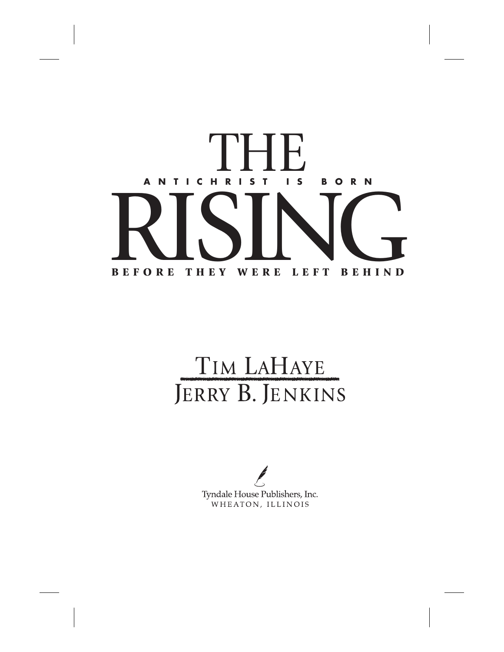

# TIM LAHAYE JERRY B. JENKINS

Tyndale House Publishers, Inc. WHEATON, ILLINOIS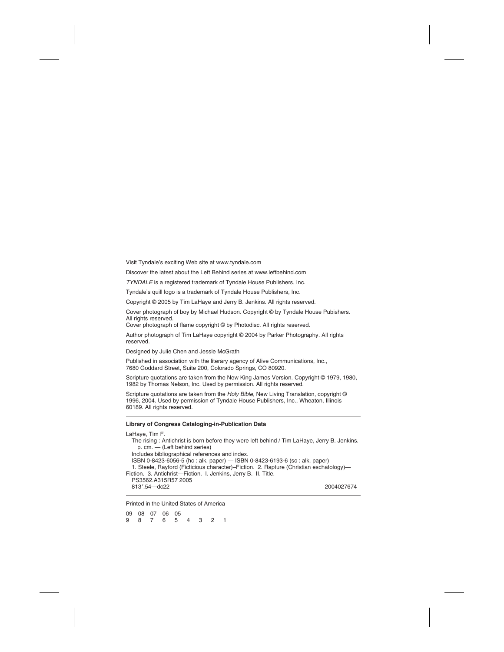Visit Tyndale's exciting Web site at www.tyndale.com

Discover the latest about the Left Behind series at www.leftbehind.com

TYNDALE is a registered trademark of Tyndale House Publishers, Inc.

Tyndale's quill logo is a trademark of Tyndale House Publishers, Inc.

Copyright © 2005 by Tim LaHaye and Jerry B. Jenkins. All rights reserved.

Cover photograph of boy by Michael Hudson. Copyright © by Tyndale House Pubishers. All rights reserved.

Cover photograph of flame copyright © by Photodisc. All rights reserved.

Author photograph of Tim LaHaye copyright © 2004 by Parker Photography. All rights reserved.

Designed by Julie Chen and Jessie McGrath

Published in association with the literary agency of Alive Communications, Inc., 7680 Goddard Street, Suite 200, Colorado Springs, CO 80920.

Scripture quotations are taken from the New King James Version. Copyright © 1979, 1980, 1982 by Thomas Nelson, Inc. Used by permission. All rights reserved.

Scripture quotations are taken from the Holy Bible, New Living Translation, copyright © 1996, 2004. Used by permission of Tyndale House Publishers, Inc., Wheaton, Illinois 60189. All rights reserved.

#### **Library of Congress Cataloging-in-Publication Data**

LaHaye, Tim F. The rising : Antichrist is born before they were left behind / Tim LaHaye, Jerry B. Jenkins. p. cm. — (Left behind series) Includes bibliographical references and index. ISBN 0-8423-6056-5 (hc : alk. paper) — ISBN 0-8423-6193-6 (sc : alk. paper) 1. Steele, Rayford (Ficticious character)–Fiction. 2. Rapture (Christian eschatology)— Fiction. 3. Antichrist—Fiction. I. Jenkins, Jerry B. II. Title. PS3562.A315R57 2005 813′.54—dc22 2004027674

Printed in the United States of America

09 08 07 06 05 987654321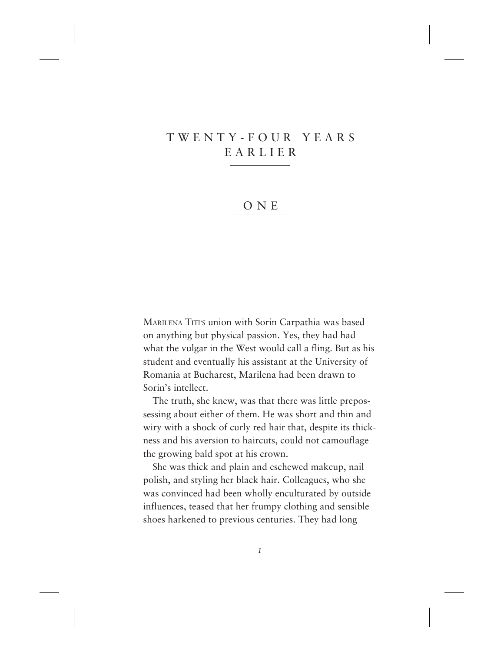# TWENTY-FOUR YEARS EARLIER

# O N E

MARILENA TITI'S union with Sorin Carpathia was based on anything but physical passion. Yes, they had had what the vulgar in the West would call a fling. But as his student and eventually his assistant at the University of Romania at Bucharest, Marilena had been drawn to Sorin's intellect.

The truth, she knew, was that there was little prepossessing about either of them. He was short and thin and wiry with a shock of curly red hair that, despite its thickness and his aversion to haircuts, could not camouflage the growing bald spot at his crown.

She was thick and plain and eschewed makeup, nail polish, and styling her black hair. Colleagues, who she was convinced had been wholly enculturated by outside influences, teased that her frumpy clothing and sensible shoes harkened to previous centuries. They had long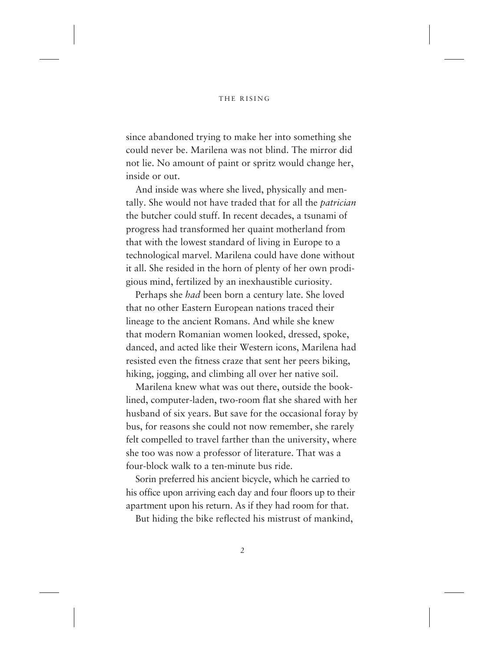since abandoned trying to make her into something she could never be. Marilena was not blind. The mirror did not lie. No amount of paint or spritz would change her, inside or out.

And inside was where she lived, physically and mentally. She would not have traded that for all the *patrician* the butcher could stuff. In recent decades, a tsunami of progress had transformed her quaint motherland from that with the lowest standard of living in Europe to a technological marvel. Marilena could have done without it all. She resided in the horn of plenty of her own prodigious mind, fertilized by an inexhaustible curiosity.

Perhaps she *had* been born a century late. She loved that no other Eastern European nations traced their lineage to the ancient Romans. And while she knew that modern Romanian women looked, dressed, spoke, danced, and acted like their Western icons, Marilena had resisted even the fitness craze that sent her peers biking, hiking, jogging, and climbing all over her native soil.

Marilena knew what was out there, outside the booklined, computer-laden, two-room flat she shared with her husband of six years. But save for the occasional foray by bus, for reasons she could not now remember, she rarely felt compelled to travel farther than the university, where she too was now a professor of literature. That was a four-block walk to a ten-minute bus ride.

Sorin preferred his ancient bicycle, which he carried to his office upon arriving each day and four floors up to their apartment upon his return. As if they had room for that.

But hiding the bike reflected his mistrust of mankind,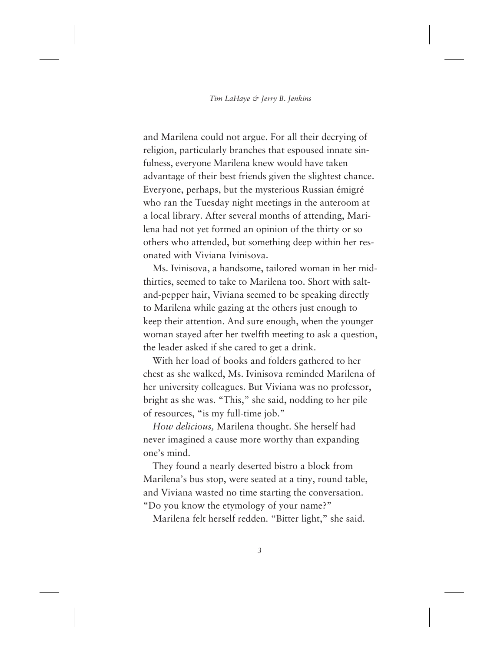and Marilena could not argue. For all their decrying of religion, particularly branches that espoused innate sinfulness, everyone Marilena knew would have taken advantage of their best friends given the slightest chance. Everyone, perhaps, but the mysterious Russian émigré who ran the Tuesday night meetings in the anteroom at a local library. After several months of attending, Marilena had not yet formed an opinion of the thirty or so others who attended, but something deep within her resonated with Viviana Ivinisova.

Ms. Ivinisova, a handsome, tailored woman in her midthirties, seemed to take to Marilena too. Short with saltand-pepper hair, Viviana seemed to be speaking directly to Marilena while gazing at the others just enough to keep their attention. And sure enough, when the younger woman stayed after her twelfth meeting to ask a question, the leader asked if she cared to get a drink.

With her load of books and folders gathered to her chest as she walked, Ms. Ivinisova reminded Marilena of her university colleagues. But Viviana was no professor, bright as she was. "This," she said, nodding to her pile of resources, "is my full-time job."

*How delicious,* Marilena thought. She herself had never imagined a cause more worthy than expanding one's mind.

They found a nearly deserted bistro a block from Marilena's bus stop, were seated at a tiny, round table, and Viviana wasted no time starting the conversation. "Do you know the etymology of your name?"

Marilena felt herself redden. "Bitter light," she said.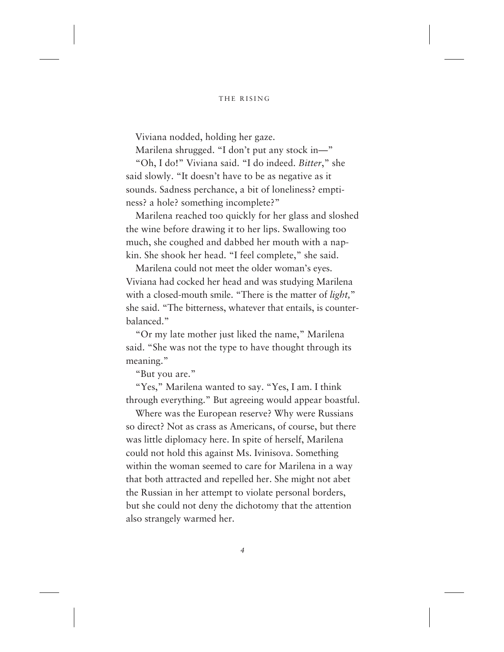Viviana nodded, holding her gaze.

Marilena shrugged. "I don't put any stock in—"

"Oh, I do!" Viviana said. "I do indeed. *Bitter*," she said slowly. "It doesn't have to be as negative as it sounds. Sadness perchance, a bit of loneliness? emptiness? a hole? something incomplete?"

Marilena reached too quickly for her glass and sloshed the wine before drawing it to her lips. Swallowing too much, she coughed and dabbed her mouth with a napkin. She shook her head. "I feel complete," she said.

Marilena could not meet the older woman's eyes. Viviana had cocked her head and was studying Marilena with a closed-mouth smile. "There is the matter of *light,*" she said. "The bitterness, whatever that entails, is counterbalanced."

"Or my late mother just liked the name," Marilena said. "She was not the type to have thought through its meaning."

"But you are."

"Yes," Marilena wanted to say. "Yes, I am. I think through everything." But agreeing would appear boastful.

Where was the European reserve? Why were Russians so direct? Not as crass as Americans, of course, but there was little diplomacy here. In spite of herself, Marilena could not hold this against Ms. Ivinisova. Something within the woman seemed to care for Marilena in a way that both attracted and repelled her. She might not abet the Russian in her attempt to violate personal borders, but she could not deny the dichotomy that the attention also strangely warmed her.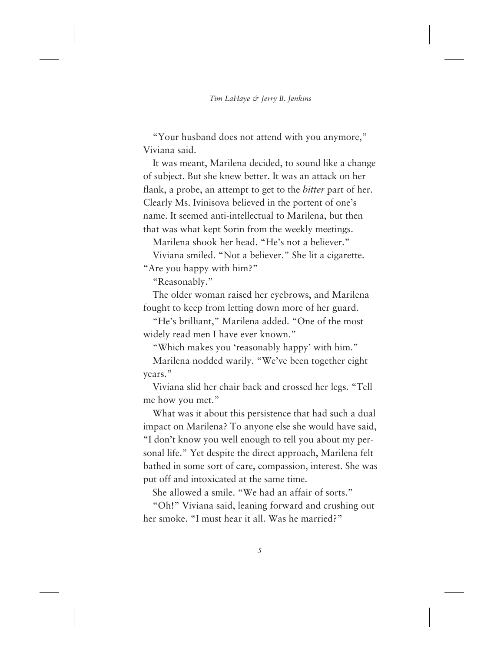"Your husband does not attend with you anymore," Viviana said.

It was meant, Marilena decided, to sound like a change of subject. But she knew better. It was an attack on her flank, a probe, an attempt to get to the *bitter* part of her. Clearly Ms. Ivinisova believed in the portent of one's name. It seemed anti-intellectual to Marilena, but then that was what kept Sorin from the weekly meetings.

Marilena shook her head. "He's not a believer."

Viviana smiled. "Not a believer." She lit a cigarette. "Are you happy with him?"

"Reasonably."

The older woman raised her eyebrows, and Marilena fought to keep from letting down more of her guard.

"He's brilliant," Marilena added. "One of the most widely read men I have ever known."

"Which makes you 'reasonably happy' with him."

Marilena nodded warily. "We've been together eight years."

Viviana slid her chair back and crossed her legs. "Tell me how you met."

What was it about this persistence that had such a dual impact on Marilena? To anyone else she would have said, "I don't know you well enough to tell you about my personal life." Yet despite the direct approach, Marilena felt bathed in some sort of care, compassion, interest. She was put off and intoxicated at the same time.

She allowed a smile. "We had an affair of sorts."

"Oh!" Viviana said, leaning forward and crushing out her smoke. "I must hear it all. Was he married?"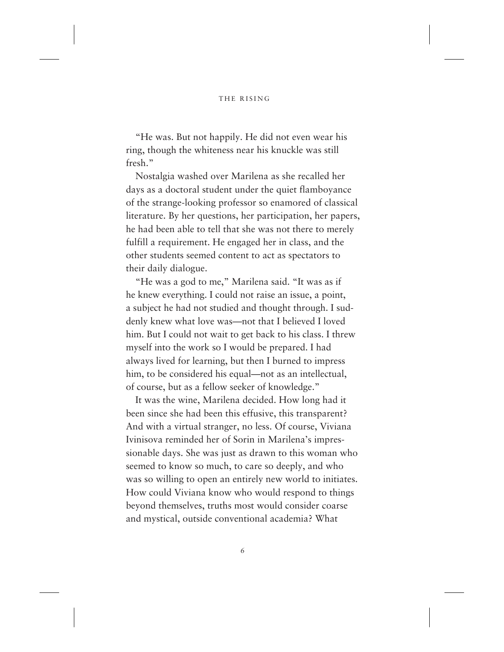"He was. But not happily. He did not even wear his ring, though the whiteness near his knuckle was still fresh."

Nostalgia washed over Marilena as she recalled her days as a doctoral student under the quiet flamboyance of the strange-looking professor so enamored of classical literature. By her questions, her participation, her papers, he had been able to tell that she was not there to merely fulfill a requirement. He engaged her in class, and the other students seemed content to act as spectators to their daily dialogue.

"He was a god to me," Marilena said. "It was as if he knew everything. I could not raise an issue, a point, a subject he had not studied and thought through. I suddenly knew what love was—not that I believed I loved him. But I could not wait to get back to his class. I threw myself into the work so I would be prepared. I had always lived for learning, but then I burned to impress him, to be considered his equal—not as an intellectual, of course, but as a fellow seeker of knowledge."

It was the wine, Marilena decided. How long had it been since she had been this effusive, this transparent? And with a virtual stranger, no less. Of course, Viviana Ivinisova reminded her of Sorin in Marilena's impressionable days. She was just as drawn to this woman who seemed to know so much, to care so deeply, and who was so willing to open an entirely new world to initiates. How could Viviana know who would respond to things beyond themselves, truths most would consider coarse and mystical, outside conventional academia? What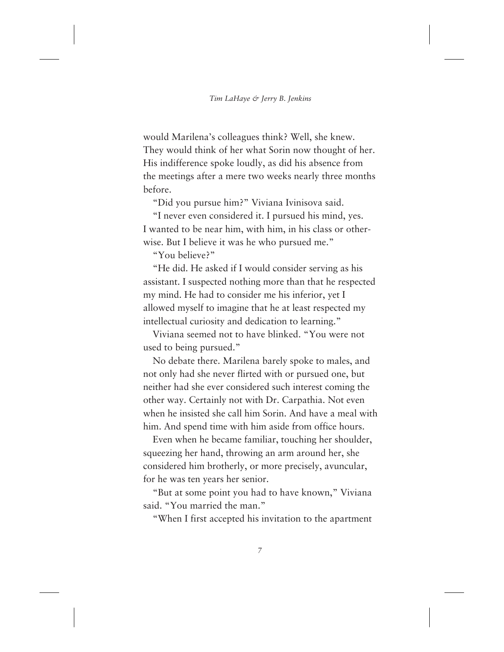would Marilena's colleagues think? Well, she knew. They would think of her what Sorin now thought of her. His indifference spoke loudly, as did his absence from the meetings after a mere two weeks nearly three months before.

"Did you pursue him?" Viviana Ivinisova said.

"I never even considered it. I pursued his mind, yes. I wanted to be near him, with him, in his class or otherwise. But I believe it was he who pursued me."

"You believe?"

"He did. He asked if I would consider serving as his assistant. I suspected nothing more than that he respected my mind. He had to consider me his inferior, yet I allowed myself to imagine that he at least respected my intellectual curiosity and dedication to learning."

Viviana seemed not to have blinked. "You were not used to being pursued."

No debate there. Marilena barely spoke to males, and not only had she never flirted with or pursued one, but neither had she ever considered such interest coming the other way. Certainly not with Dr. Carpathia. Not even when he insisted she call him Sorin. And have a meal with him. And spend time with him aside from office hours.

Even when he became familiar, touching her shoulder, squeezing her hand, throwing an arm around her, she considered him brotherly, or more precisely, avuncular, for he was ten years her senior.

"But at some point you had to have known," Viviana said. "You married the man."

"When I first accepted his invitation to the apartment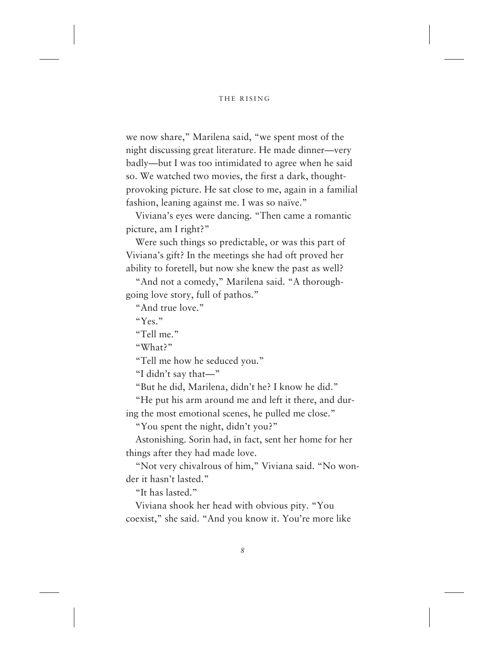we now share," Marilena said, "we spent most of the night discussing great literature. He made dinner—very badly—but I was too intimidated to agree when he said so. We watched two movies, the first a dark, thoughtprovoking picture. He sat close to me, again in a familial fashion, leaning against me. I was so naïve."

Viviana's eyes were dancing. "Then came a romantic picture, am I right?"

Were such things so predictable, or was this part of Viviana's gift? In the meetings she had oft proved her ability to foretell, but now she knew the past as well?

"And not a comedy," Marilena said. "A thoroughgoing love story, full of pathos."

"And true love."

"Yes."

"Tell me."

"What?"

"Tell me how he seduced you."

"I didn't say that—"

"But he did, Marilena, didn't he? I know he did."

"He put his arm around me and left it there, and during the most emotional scenes, he pulled me close."

"You spent the night, didn't you?"

Astonishing. Sorin had, in fact, sent her home for her things after they had made love.

"Not very chivalrous of him," Viviana said. "No wonder it hasn't lasted."

"It has lasted."

Viviana shook her head with obvious pity. "You coexist," she said. "And you know it. You're more like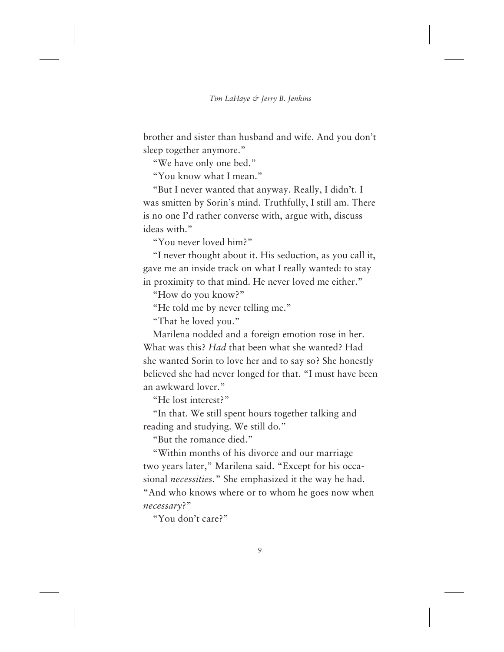brother and sister than husband and wife. And you don't sleep together anymore."

"We have only one bed."

"You know what I mean."

"But I never wanted that anyway. Really, I didn't. I was smitten by Sorin's mind. Truthfully, I still am. There is no one I'd rather converse with, argue with, discuss ideas with."

"You never loved him?"

"I never thought about it. His seduction, as you call it, gave me an inside track on what I really wanted: to stay in proximity to that mind. He never loved me either."

"How do you know?"

"He told me by never telling me."

"That he loved you."

Marilena nodded and a foreign emotion rose in her. What was this? *Had* that been what she wanted? Had she wanted Sorin to love her and to say so? She honestly believed she had never longed for that. "I must have been an awkward lover."

"He lost interest?"

"In that. We still spent hours together talking and reading and studying. We still do."

"But the romance died."

"Within months of his divorce and our marriage two years later," Marilena said. "Except for his occasional *necessities.*" She emphasized it the way he had. "And who knows where or to whom he goes now when *necessary*?"

"You don't care?"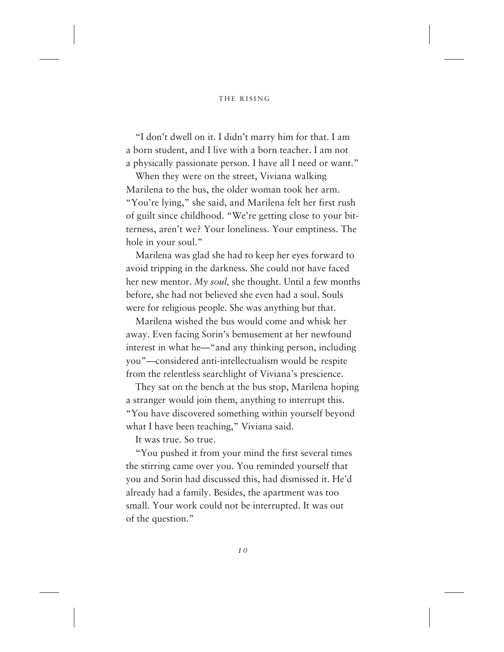"I don't dwell on it. I didn't marry him for that. I am a born student, and I live with a born teacher. I am not a physically passionate person. I have all I need or want."

When they were on the street, Viviana walking Marilena to the bus, the older woman took her arm. "You're lying," she said, and Marilena felt her first rush of guilt since childhood. "We're getting close to your bitterness, aren't we? Your loneliness. Your emptiness. The hole in your soul."

Marilena was glad she had to keep her eyes forward to avoid tripping in the darkness. She could not have faced her new mentor. *My soul,* she thought. Until a few months before, she had not believed she even had a soul. Souls were for religious people. She was anything but that.

Marilena wished the bus would come and whisk her away. Even facing Sorin's bemusement at her newfound interest in what he—"and any thinking person, including you"—considered anti-intellectualism would be respite from the relentless searchlight of Viviana's prescience.

They sat on the bench at the bus stop, Marilena hoping a stranger would join them, anything to interrupt this. "You have discovered something within yourself beyond what I have been teaching," Viviana said.

It was true. So true.

"You pushed it from your mind the first several times the stirring came over you. You reminded yourself that you and Sorin had discussed this, had dismissed it. He'd already had a family. Besides, the apartment was too small. Your work could not be interrupted. It was out of the question."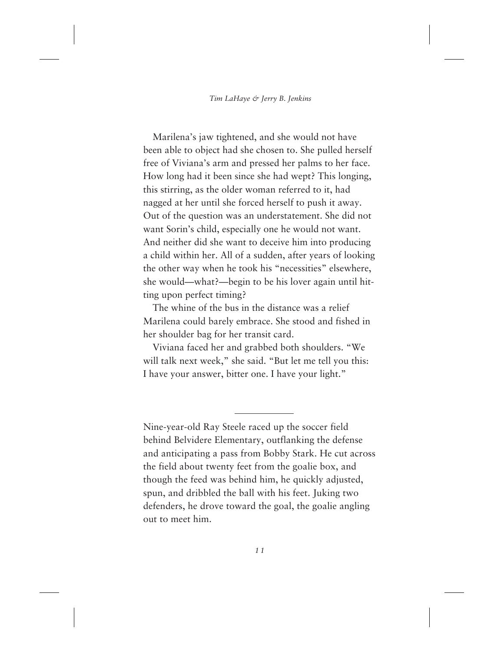Marilena's jaw tightened, and she would not have been able to object had she chosen to. She pulled herself free of Viviana's arm and pressed her palms to her face. How long had it been since she had wept? This longing, this stirring, as the older woman referred to it, had nagged at her until she forced herself to push it away. Out of the question was an understatement. She did not want Sorin's child, especially one he would not want. And neither did she want to deceive him into producing a child within her. All of a sudden, after years of looking the other way when he took his "necessities" elsewhere, she would—what?—begin to be his lover again until hitting upon perfect timing?

The whine of the bus in the distance was a relief Marilena could barely embrace. She stood and fished in her shoulder bag for her transit card.

Viviana faced her and grabbed both shoulders. "We will talk next week," she said. "But let me tell you this: I have your answer, bitter one. I have your light."

Nine-year-old Ray Steele raced up the soccer field behind Belvidere Elementary, outflanking the defense and anticipating a pass from Bobby Stark. He cut across the field about twenty feet from the goalie box, and though the feed was behind him, he quickly adjusted, spun, and dribbled the ball with his feet. Juking two defenders, he drove toward the goal, the goalie angling out to meet him.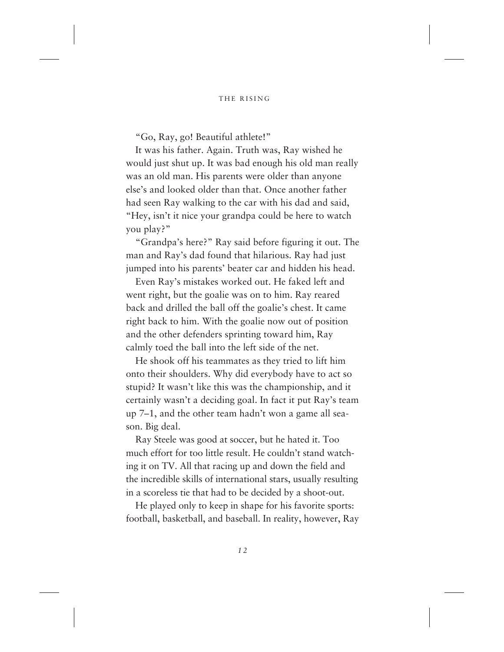"Go, Ray, go! Beautiful athlete!"

It was his father. Again. Truth was, Ray wished he would just shut up. It was bad enough his old man really was an old man. His parents were older than anyone else's and looked older than that. Once another father had seen Ray walking to the car with his dad and said, "Hey, isn't it nice your grandpa could be here to watch you play?"

"Grandpa's here?" Ray said before figuring it out. The man and Ray's dad found that hilarious. Ray had just jumped into his parents' beater car and hidden his head.

Even Ray's mistakes worked out. He faked left and went right, but the goalie was on to him. Ray reared back and drilled the ball off the goalie's chest. It came right back to him. With the goalie now out of position and the other defenders sprinting toward him, Ray calmly toed the ball into the left side of the net.

He shook off his teammates as they tried to lift him onto their shoulders. Why did everybody have to act so stupid? It wasn't like this was the championship, and it certainly wasn't a deciding goal. In fact it put Ray's team up 7–1, and the other team hadn't won a game all season. Big deal.

Ray Steele was good at soccer, but he hated it. Too much effort for too little result. He couldn't stand watching it on TV. All that racing up and down the field and the incredible skills of international stars, usually resulting in a scoreless tie that had to be decided by a shoot-out.

He played only to keep in shape for his favorite sports: football, basketball, and baseball. In reality, however, Ray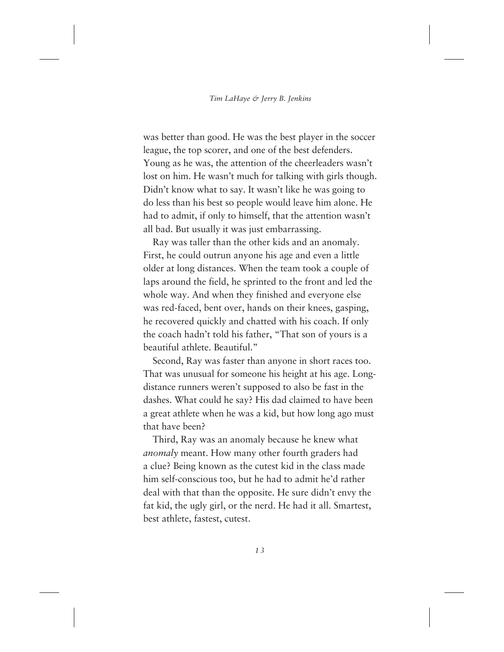was better than good. He was the best player in the soccer league, the top scorer, and one of the best defenders. Young as he was, the attention of the cheerleaders wasn't lost on him. He wasn't much for talking with girls though. Didn't know what to say. It wasn't like he was going to do less than his best so people would leave him alone. He had to admit, if only to himself, that the attention wasn't all bad. But usually it was just embarrassing.

Ray was taller than the other kids and an anomaly. First, he could outrun anyone his age and even a little older at long distances. When the team took a couple of laps around the field, he sprinted to the front and led the whole way. And when they finished and everyone else was red-faced, bent over, hands on their knees, gasping, he recovered quickly and chatted with his coach. If only the coach hadn't told his father, "That son of yours is a beautiful athlete. Beautiful."

Second, Ray was faster than anyone in short races too. That was unusual for someone his height at his age. Longdistance runners weren't supposed to also be fast in the dashes. What could he say? His dad claimed to have been a great athlete when he was a kid, but how long ago must that have been?

Third, Ray was an anomaly because he knew what *anomaly* meant. How many other fourth graders had a clue? Being known as the cutest kid in the class made him self-conscious too, but he had to admit he'd rather deal with that than the opposite. He sure didn't envy the fat kid, the ugly girl, or the nerd. He had it all. Smartest, best athlete, fastest, cutest.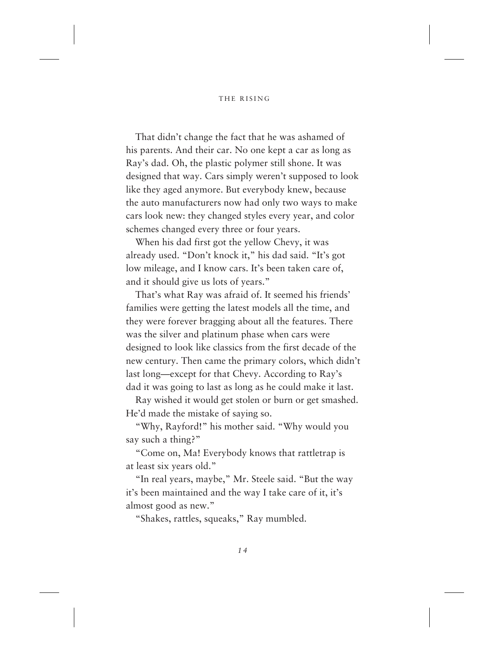That didn't change the fact that he was ashamed of his parents. And their car. No one kept a car as long as Ray's dad. Oh, the plastic polymer still shone. It was designed that way. Cars simply weren't supposed to look like they aged anymore. But everybody knew, because the auto manufacturers now had only two ways to make cars look new: they changed styles every year, and color schemes changed every three or four years.

When his dad first got the yellow Chevy, it was already used. "Don't knock it," his dad said. "It's got low mileage, and I know cars. It's been taken care of, and it should give us lots of years."

That's what Ray was afraid of. It seemed his friends' families were getting the latest models all the time, and they were forever bragging about all the features. There was the silver and platinum phase when cars were designed to look like classics from the first decade of the new century. Then came the primary colors, which didn't last long—except for that Chevy. According to Ray's dad it was going to last as long as he could make it last.

Ray wished it would get stolen or burn or get smashed. He'd made the mistake of saying so.

"Why, Rayford!" his mother said. "Why would you say such a thing?"

"Come on, Ma! Everybody knows that rattletrap is at least six years old."

"In real years, maybe," Mr. Steele said. "But the way it's been maintained and the way I take care of it, it's almost good as new."

"Shakes, rattles, squeaks," Ray mumbled.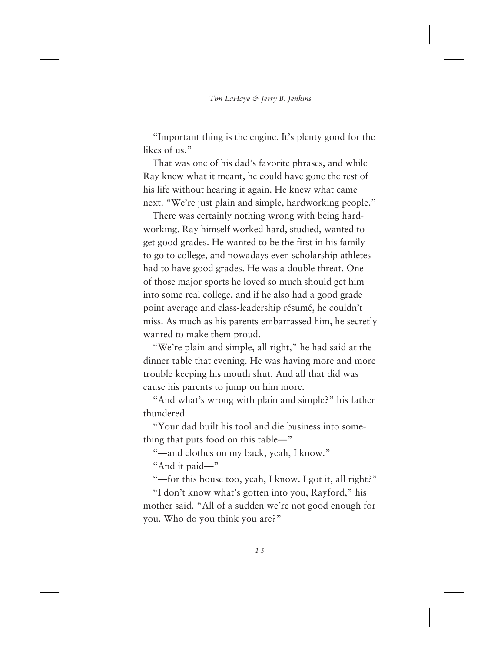"Important thing is the engine. It's plenty good for the likes of us."

That was one of his dad's favorite phrases, and while Ray knew what it meant, he could have gone the rest of his life without hearing it again. He knew what came next. "We're just plain and simple, hardworking people."

There was certainly nothing wrong with being hardworking. Ray himself worked hard, studied, wanted to get good grades. He wanted to be the first in his family to go to college, and nowadays even scholarship athletes had to have good grades. He was a double threat. One of those major sports he loved so much should get him into some real college, and if he also had a good grade point average and class-leadership résumé, he couldn't miss. As much as his parents embarrassed him, he secretly wanted to make them proud.

"We're plain and simple, all right," he had said at the dinner table that evening. He was having more and more trouble keeping his mouth shut. And all that did was cause his parents to jump on him more.

"And what's wrong with plain and simple?" his father thundered.

"Your dad built his tool and die business into something that puts food on this table—"

"—and clothes on my back, yeah, I know."

"And it paid—"

"—for this house too, yeah, I know. I got it, all right?"

"I don't know what's gotten into you, Rayford," his mother said. "All of a sudden we're not good enough for you. Who do you think you are?"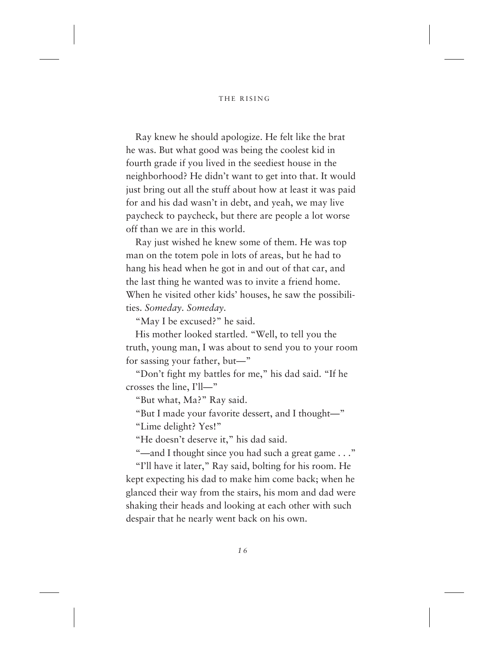Ray knew he should apologize. He felt like the brat he was. But what good was being the coolest kid in fourth grade if you lived in the seediest house in the neighborhood? He didn't want to get into that. It would just bring out all the stuff about how at least it was paid for and his dad wasn't in debt, and yeah, we may live paycheck to paycheck, but there are people a lot worse off than we are in this world.

Ray just wished he knew some of them. He was top man on the totem pole in lots of areas, but he had to hang his head when he got in and out of that car, and the last thing he wanted was to invite a friend home. When he visited other kids' houses, he saw the possibilities. *Someday. Someday.*

"May I be excused?" he said.

His mother looked startled. "Well, to tell you the truth, young man, I was about to send you to your room for sassing your father, but—"

"Don't fight my battles for me," his dad said. "If he crosses the line, I'll—"

"But what, Ma?" Ray said.

"But I made your favorite dessert, and I thought—"

"Lime delight? Yes!"

"He doesn't deserve it," his dad said.

"—and I thought since you had such a great game . . ."

"I'll have it later," Ray said, bolting for his room. He kept expecting his dad to make him come back; when he glanced their way from the stairs, his mom and dad were shaking their heads and looking at each other with such despair that he nearly went back on his own.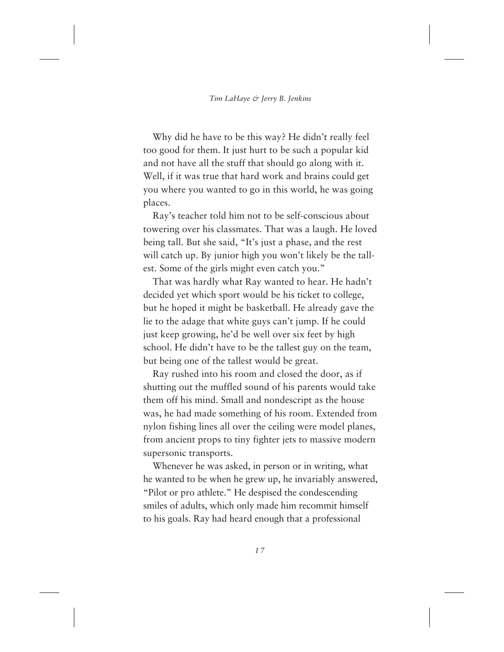Why did he have to be this way? He didn't really feel too good for them. It just hurt to be such a popular kid and not have all the stuff that should go along with it. Well, if it was true that hard work and brains could get you where you wanted to go in this world, he was going places.

Ray's teacher told him not to be self-conscious about towering over his classmates. That was a laugh. He loved being tall. But she said, "It's just a phase, and the rest will catch up. By junior high you won't likely be the tallest. Some of the girls might even catch you."

That was hardly what Ray wanted to hear. He hadn't decided yet which sport would be his ticket to college, but he hoped it might be basketball. He already gave the lie to the adage that white guys can't jump. If he could just keep growing, he'd be well over six feet by high school. He didn't have to be the tallest guy on the team, but being one of the tallest would be great.

Ray rushed into his room and closed the door, as if shutting out the muffled sound of his parents would take them off his mind. Small and nondescript as the house was, he had made something of his room. Extended from nylon fishing lines all over the ceiling were model planes, from ancient props to tiny fighter jets to massive modern supersonic transports.

Whenever he was asked, in person or in writing, what he wanted to be when he grew up, he invariably answered, "Pilot or pro athlete." He despised the condescending smiles of adults, which only made him recommit himself to his goals. Ray had heard enough that a professional